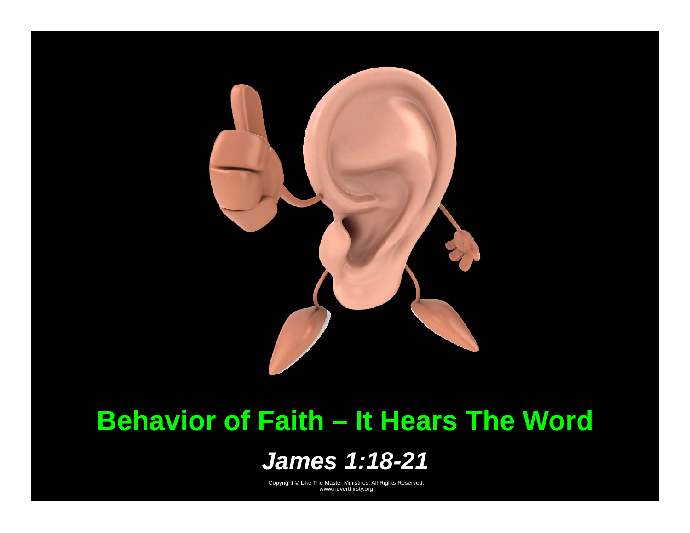

# **Behavior of Faith – It Hears The Word**

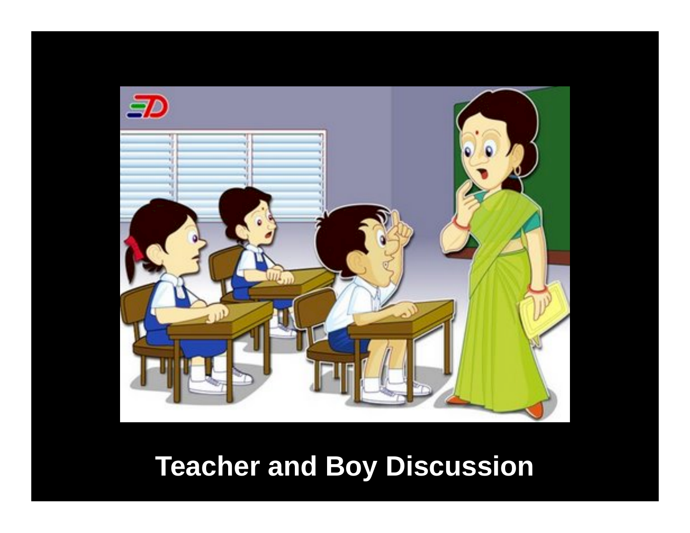

# **Teacher and Boy Discussion**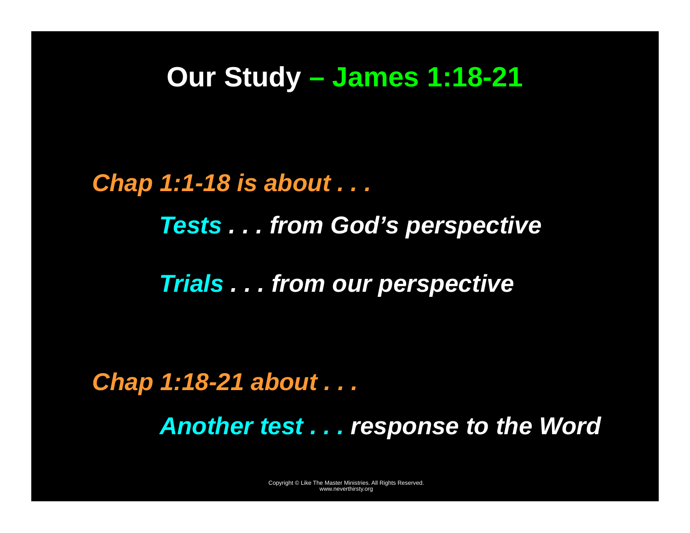### **Our Study – James 1:18-21**

*Chap 1:1-18 is about . . . Tests . . . from God's perspective Trials . . . from our perspective* 

*Chap 1:18-21 about . . . Another test . . . response to the Word*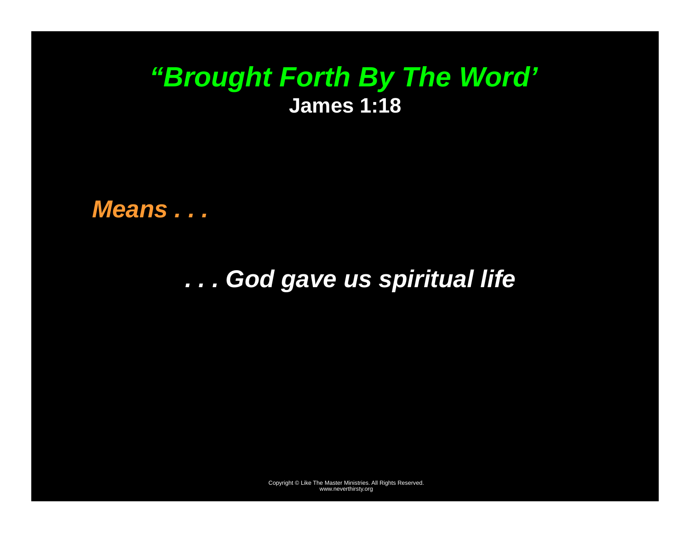### *"Brought Forth By The Word'*  **James 1:18**

*Means . . .* 

*. . . God gave us spiritual life*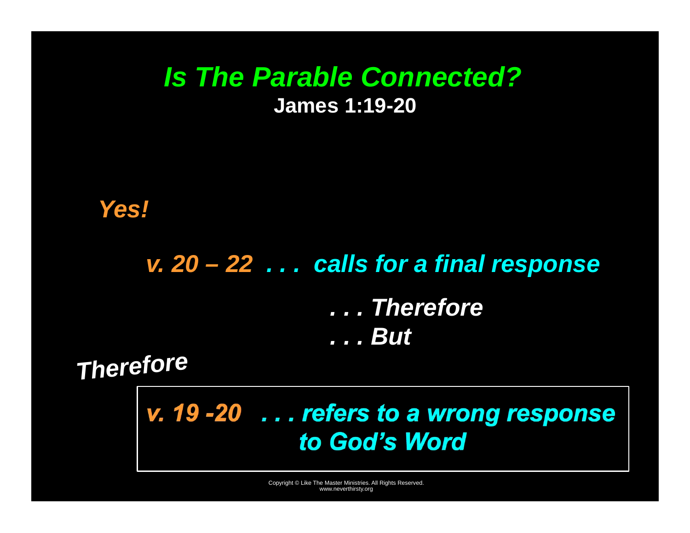### *Is The Parable Connected?*  **James 1:19-20**

 *Yes!* 

# *v. 20 – 22 . . . calls for a final response*

*. . . Therefore . . . But* 

*Therefore* 

*v. 19 -20 . . . refers to a wrong response to God's Word*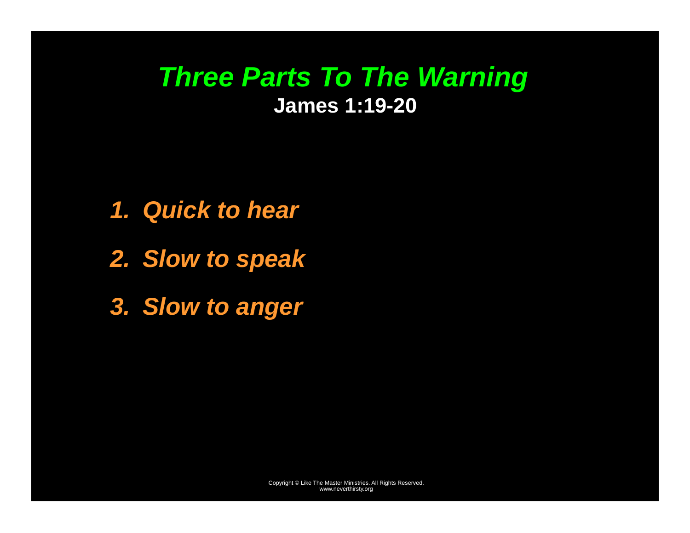### *Three Parts To The Warning*  **James 1:19-20**

- *1. Quick to hear*
- *2. Slow to speak*
- *3. Slow to anger*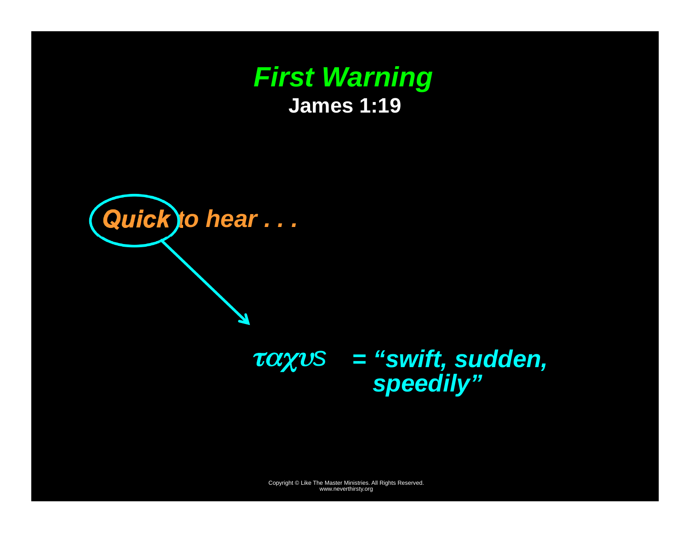



### ταχυ*s = "swift, sudden, speedily"*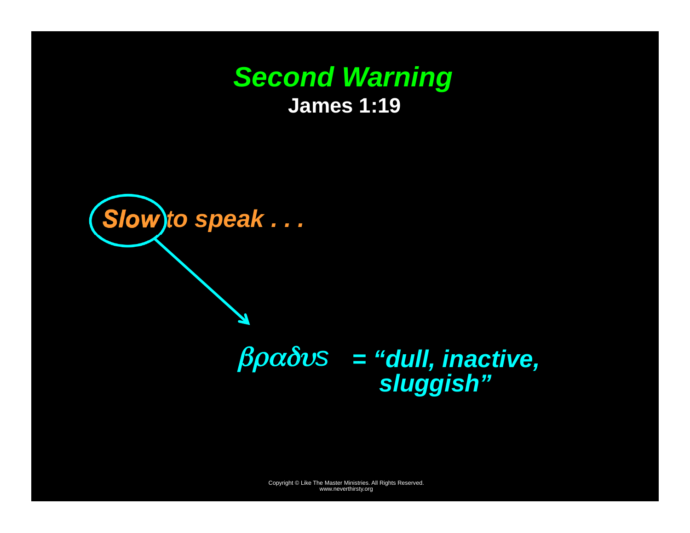#### *Second Warning*  **James 1:19**



## βραδυ*<sup>s</sup>= "dull, inactive, sluggish"*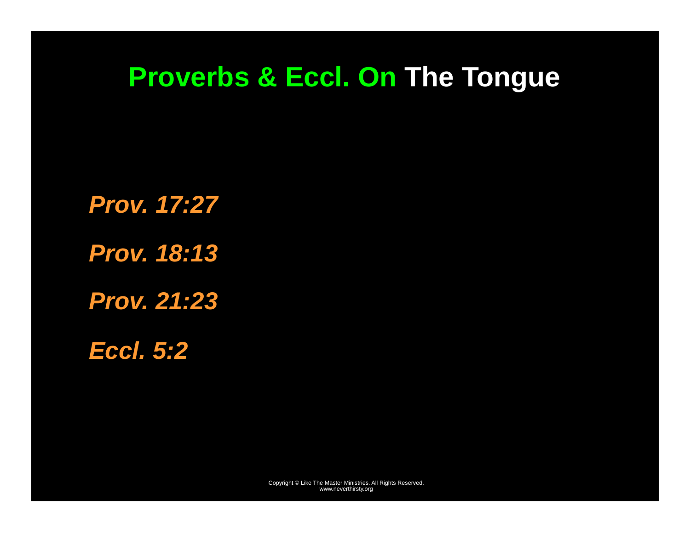# **Proverbs & Eccl. On The Tongue**

*Prov. 17:27 Prov. 18:13 Prov. 21:23* 

*Eccl. 5:2*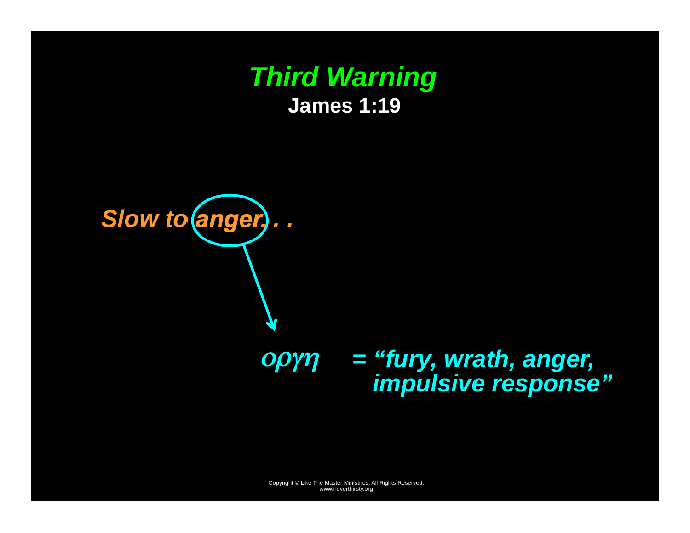



### οργη *<sup>=</sup>"fury, wrath, anger, impulsive response"*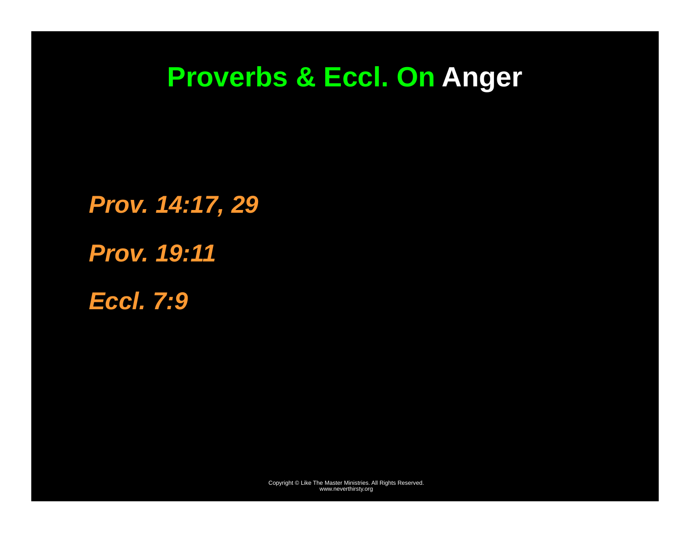# **Proverbs & Eccl. On Anger**

*Prov. 14:17, 29 Prov. 19:11 Eccl. 7:9*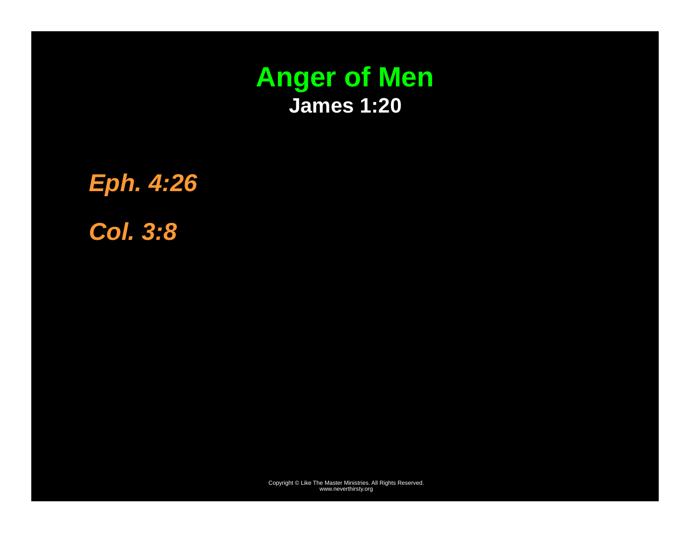

*Eph. 4:26 Col. 3:8*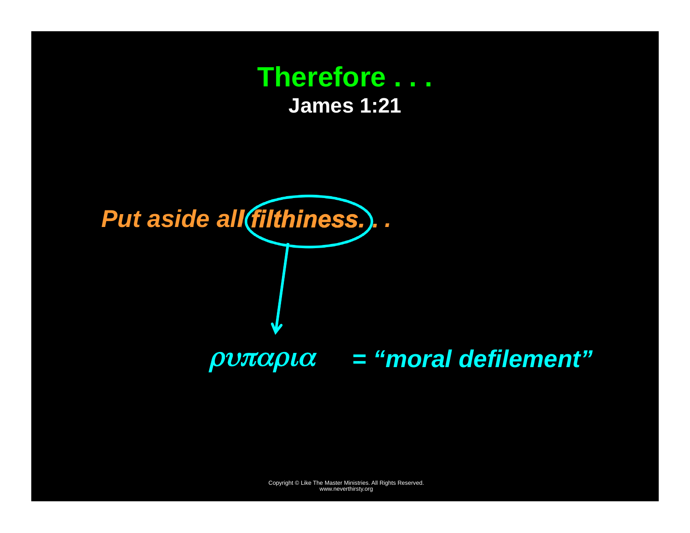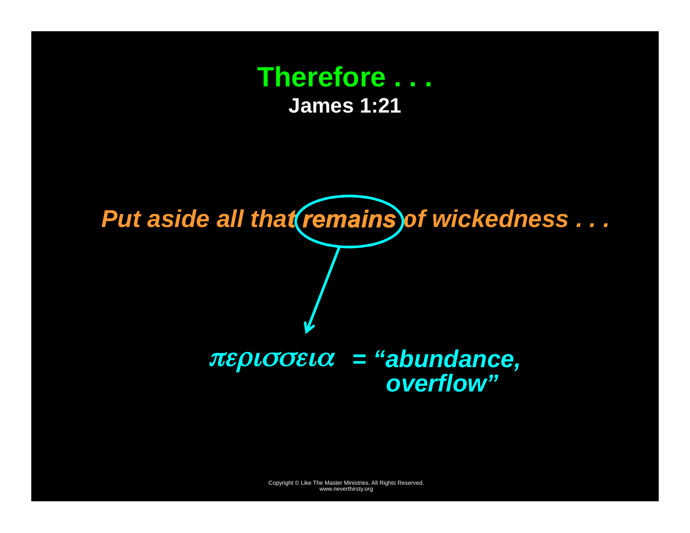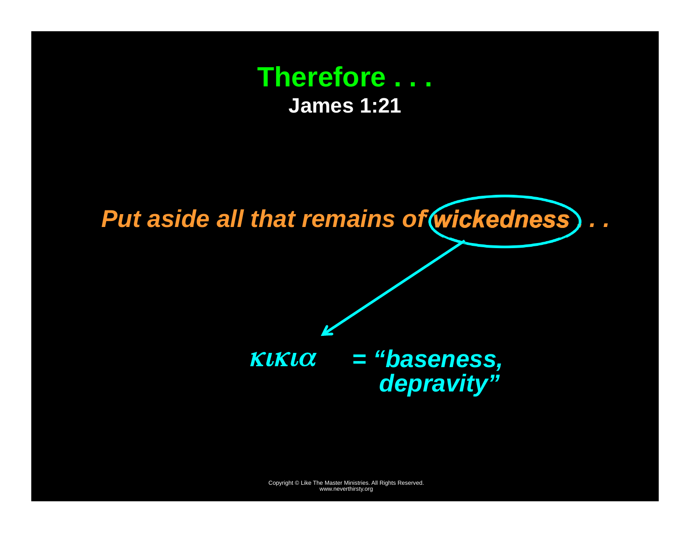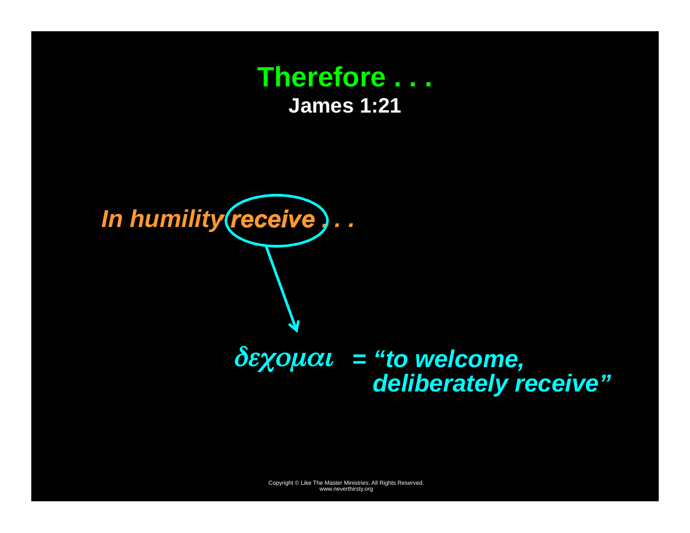